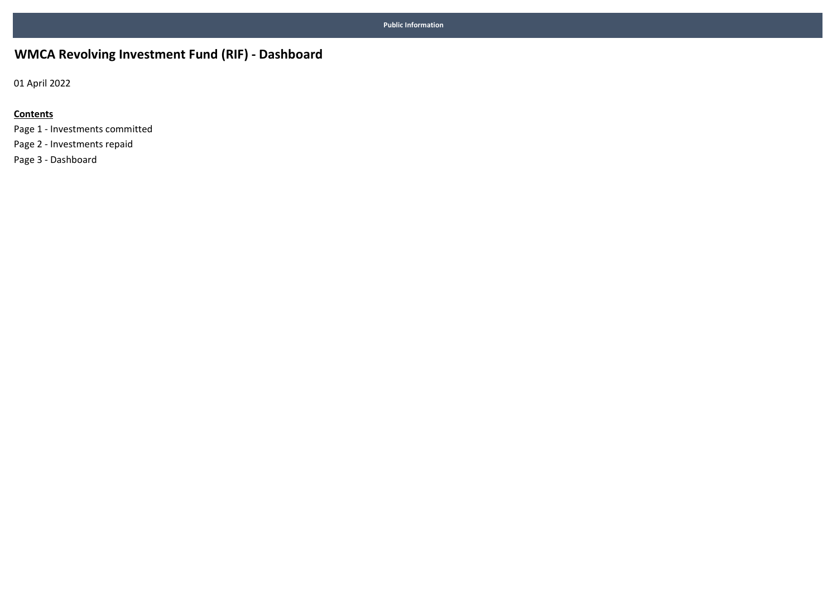## WMCA Revolving Investment Fund (RIF) - Dashboard

01 April 2022

#### **Contents**

Page 1 - Investments committed Page 2 - Investments repaid Page 3 - Dashboard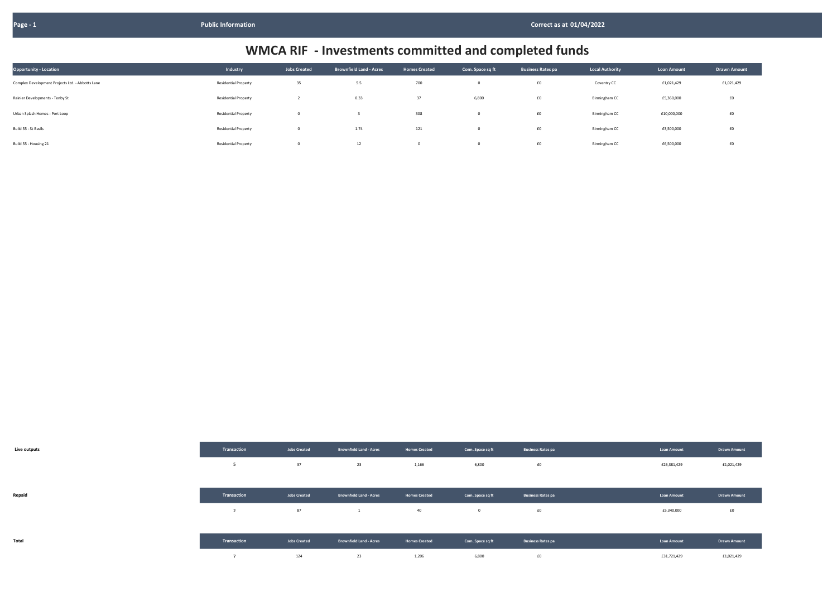| <b>Opportunity - Location</b>                    | Industry                    | <b>Jobs Created</b> | <b>Brownfield Land - Acres</b> | <b>Homes Created</b> | Com. Space sq ft | <b>Business Rates pa</b> | <b>Local Authority</b> | <b>Loan Amount</b> | <b>Drawn Amount</b> |
|--------------------------------------------------|-----------------------------|---------------------|--------------------------------|----------------------|------------------|--------------------------|------------------------|--------------------|---------------------|
| Complex Development Projects Ltd. - Abbotts Lane | <b>Residential Property</b> | 35                  | 5.5                            | 700                  |                  | £0                       | Coventry CC            | £1,021,429         | £1,021,429          |
| Rainier Developments - Tenby St                  | <b>Residential Property</b> |                     | 0.33                           | 37                   | 6,800            | £0                       | Birmingham CC          | £5,360,000         | f0                  |
| Urban Splash Homes - Port Loop                   | <b>Residential Property</b> | $\Omega$            |                                | 308                  |                  | $\pmb{\text{f0}}$        | Birmingham CC          | £10,000,000        | f0                  |
| Build 55 - St Basils                             | <b>Residential Property</b> | $\mathbf 0$         | 1.74                           | 121                  |                  | $\pmb{\text{f0}}$        | Birmingham CC          | £3,500,000         | £0                  |
| Build 55 - Housing 21                            | <b>Residential Property</b> | $^{\circ}$          | 12                             | $\Omega$             |                  | £0                       | Birmingham CC          | £6,500,000         | £0                  |

| Live outputs |  |
|--------------|--|

| Live outputs | Transaction                               | <b>Jobs Created</b> | <b>Brownfield Land - Acres</b> | <b>Homes Created</b> | Com. Space sq ft | <b>Business Rates pa</b> | <b>Loan Amount</b> | <b>Drawn Amount</b> |
|--------------|-------------------------------------------|---------------------|--------------------------------|----------------------|------------------|--------------------------|--------------------|---------------------|
|              | 5                                         | 37                  | 23                             | 1,166                | 6,800            | £0                       | £26,381,429        | £1,021,429          |
|              |                                           |                     |                                |                      |                  |                          |                    |                     |
| Repaid       | Transaction                               | <b>Jobs Created</b> | <b>Brownfield Land - Acres</b> | <b>Homes Created</b> | Com. Space sq ft | <b>Business Rates pa</b> | <b>Loan Amount</b> | <b>Drawn Amount</b> |
|              | $\overline{\phantom{a}}$<br>$\mathcal{L}$ | 87                  | 1                              | 40                   | $\mathbf 0$      | £0                       | £5,340,000         | £0                  |
|              |                                           |                     |                                |                      |                  |                          |                    |                     |
| Total        | Transaction                               | <b>Jobs Created</b> | <b>Brownfield Land - Acres</b> | <b>Homes Created</b> | Com. Space sq ft | <b>Business Rates pa</b> | Loan Amount        | <b>Drawn Amount</b> |
|              | ь                                         | 124                 | 23                             | 1,206                | 6,800            | f0                       | £31,721,429        | £1,021,429          |

| <b>Loan Amount</b> | <b>Drawn Amount</b> |
|--------------------|---------------------|
| £1,021,429         | £1,021,429          |
| £5,360,000         | £0                  |
| £10,000,000        | £0                  |
| £3,500,000         | £0                  |
| £6,500,000         | £0                  |

| <b>Loan Amount</b> | <b>Drawn Amount</b> |
|--------------------|---------------------|
| £26,381,429        | £1,021,429          |
|                    |                     |
| <b>Loan Amount</b> | <b>Drawn Amount</b> |
| £5,340,000         | £0                  |
|                    |                     |
| <b>Loan Amount</b> | <b>Drawn Amount</b> |
| £31,721,429        | £1,021,429          |

## WMCA RIF - Investments committed and completed funds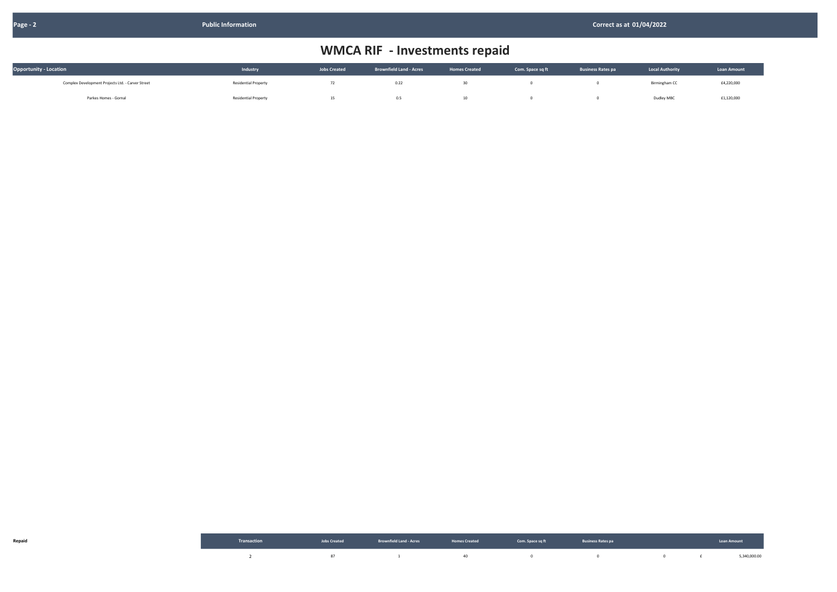| <b>Opportunity - Location</b>                     | Industry                    | <b>Jobs Created</b> | <b>Brownfield Land - Acres</b> | <b>Homes Created</b> | Com. Space sq ft | <b>Business Rates pa</b> | <b>Local Authority</b> | <b>Loan Amount</b> |
|---------------------------------------------------|-----------------------------|---------------------|--------------------------------|----------------------|------------------|--------------------------|------------------------|--------------------|
| Complex Development Projects Ltd. - Carver Street | <b>Residential Property</b> | 74                  | 0.22                           |                      |                  |                          | Birmingham CC          | £4,220,000         |
| Parkes Homes - Gornal                             | <b>Residential Property</b> | 15                  | 0.5                            |                      |                  |                          | Dudley MBC             | £1,120,000         |

|  | Transaction and the second version of the second of the second of the second of the second of the second of the second of the second of the second of the second of the second of the second of the second of the second of th |  | <b>Example 2008</b> Service Communication of the Communication of the Communication of the Communication of the Communication of the Communication of the Communication of the Communication of the Communication of the Communicat |              |
|--|--------------------------------------------------------------------------------------------------------------------------------------------------------------------------------------------------------------------------------|--|-------------------------------------------------------------------------------------------------------------------------------------------------------------------------------------------------------------------------------------|--------------|
|  |                                                                                                                                                                                                                                |  |                                                                                                                                                                                                                                     | 5,340,000.00 |

| <b>Local Authority</b> | <b>Loan Amount</b> |
|------------------------|--------------------|
| Birmingham CC          | £4,220,000         |
| Dudley MRC             | £1 120,000         |

## WMCA RIF - Investments repaid